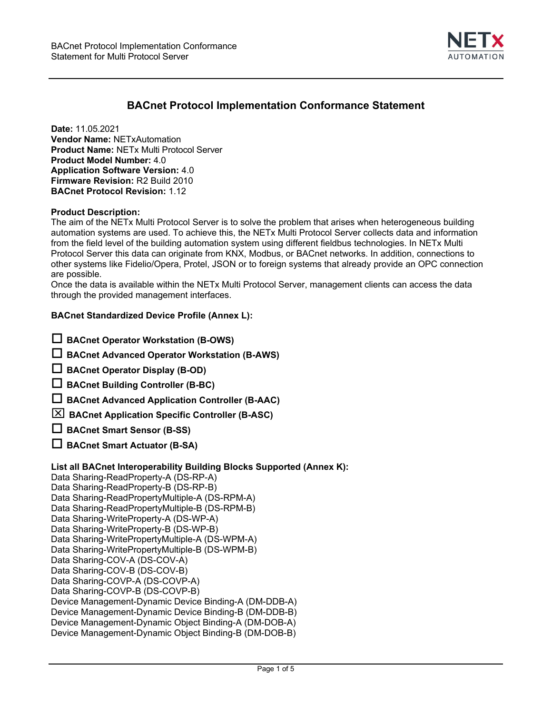

# **BACnet Protocol Implementation Conformance Statement**

**Date:** 11.05.2021 **Vendor Name:** NETxAutomation **Product Name:** NETx Multi Protocol Server **Product Model Number:** 4.0 **Application Software Version:** 4.0 **Firmware Revision:** R2 Build 2010 **BACnet Protocol Revision:** 1.12

## **Product Description:**

The aim of the NETx Multi Protocol Server is to solve the problem that arises when heterogeneous building automation systems are used. To achieve this, the NETx Multi Protocol Server collects data and information from the field level of the building automation system using different fieldbus technologies. In NETx Multi Protocol Server this data can originate from KNX, Modbus, or BACnet networks. In addition, connections to other systems like Fidelio/Opera, Protel, JSON or to foreign systems that already provide an OPC connection are possible.

Once the data is available within the NETx Multi Protocol Server, management clients can access the data through the provided management interfaces.

## **BACnet Standardized Device Profile (Annex L):**

|  |  | $\Box$ BACnet Operator Workstation (B-OWS) |  |
|--|--|--------------------------------------------|--|
|--|--|--------------------------------------------|--|

**BACnet Advanced Operator Workstation (B-AWS)**

**BACnet Operator Display (B-OD)**

- **BACnet Building Controller (B-BC)**
- **BACnet Advanced Application Controller (B-AAC)**

**BACnet Application Specific Controller (B-ASC)**

**BACnet Smart Sensor (B-SS)**

**BACnet Smart Actuator (B-SA)**

# **List all BACnet Interoperability Building Blocks Supported (Annex K):**

Data Sharing-ReadProperty-A (DS-RP-A) Data Sharing-ReadProperty-B (DS-RP-B) Data Sharing-ReadPropertyMultiple-A (DS-RPM-A) Data Sharing-ReadPropertyMultiple-B (DS-RPM-B) Data Sharing-WriteProperty-A (DS-WP-A) Data Sharing-WriteProperty-B (DS-WP-B) Data Sharing-WritePropertyMultiple-A (DS-WPM-A) Data Sharing-WritePropertyMultiple-B (DS-WPM-B) Data Sharing-COV-A (DS-COV-A) Data Sharing-COV-B (DS-COV-B) Data Sharing-COVP-A (DS-COVP-A) Data Sharing-COVP-B (DS-COVP-B) Device Management-Dynamic Device Binding-A (DM-DDB-A) Device Management-Dynamic Device Binding-B (DM-DDB-B) Device Management-Dynamic Object Binding-A (DM-DOB-A) Device Management-Dynamic Object Binding-B (DM-DOB-B)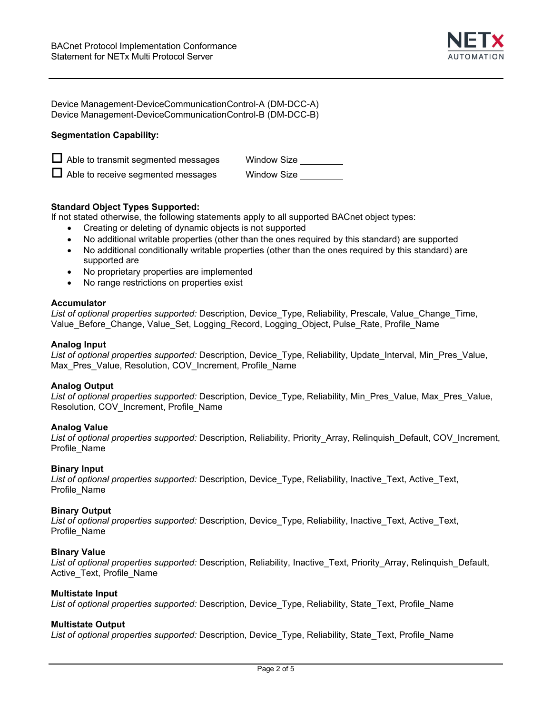

Device Management-DeviceCommunicationControl-A (DM-DCC-A) Device Management-DeviceCommunicationControl-B (DM-DCC-B)

## **Segmentation Capability:**

| $\Box$ Able to transmit segmented messages | <b>Window Size</b> |
|--------------------------------------------|--------------------|
| $\Box$ Able to receive segmented messages  | Window Size        |

## **Standard Object Types Supported:**

If not stated otherwise, the following statements apply to all supported BACnet object types:

- Creating or deleting of dynamic objects is not supported
- No additional writable properties (other than the ones required by this standard) are supported
- No additional conditionally writable properties (other than the ones required by this standard) are supported are
- No proprietary properties are implemented
- No range restrictions on properties exist

## **Accumulator**

|  | List of optional properties supported: Description, Device Type, Reliability, Prescale, Value Change Time, |  |  |  |  |  |  |
|--|------------------------------------------------------------------------------------------------------------|--|--|--|--|--|--|
|  | Value_Before_Change, Value_Set, Logging_Record, Logging_Object, Pulse_Rate, Profile_Name                   |  |  |  |  |  |  |

#### **Analog Input**

*List of optional properties supported:* Description, Device\_Type, Reliability, Update\_Interval, Min\_Pres\_Value, Max Pres\_Value, Resolution, COV\_Increment, Profile\_Name

## **Analog Output**

*List of optional properties supported:* Description, Device\_Type, Reliability, Min\_Pres\_Value, Max\_Pres\_Value, Resolution, COV\_Increment, Profile\_Name

## **Analog Value**

*List of optional properties supported:* Description, Reliability, Priority\_Array, Relinquish\_Default, COV\_Increment, Profile\_Name

## **Binary Input**

*List of optional properties supported:* Description, Device\_Type, Reliability, Inactive\_Text, Active\_Text, Profile\_Name

## **Binary Output**

*List of optional properties supported:* Description, Device\_Type, Reliability, Inactive\_Text, Active\_Text, Profile\_Name

## **Binary Value**

*List of optional properties supported:* Description, Reliability, Inactive\_Text, Priority\_Array, Relinquish\_Default, Active\_Text, Profile\_Name

#### **Multistate Input**

*List of optional properties supported:* Description, Device\_Type, Reliability, State\_Text, Profile\_Name

## **Multistate Output**

*List of optional properties supported:* Description, Device\_Type, Reliability, State\_Text, Profile\_Name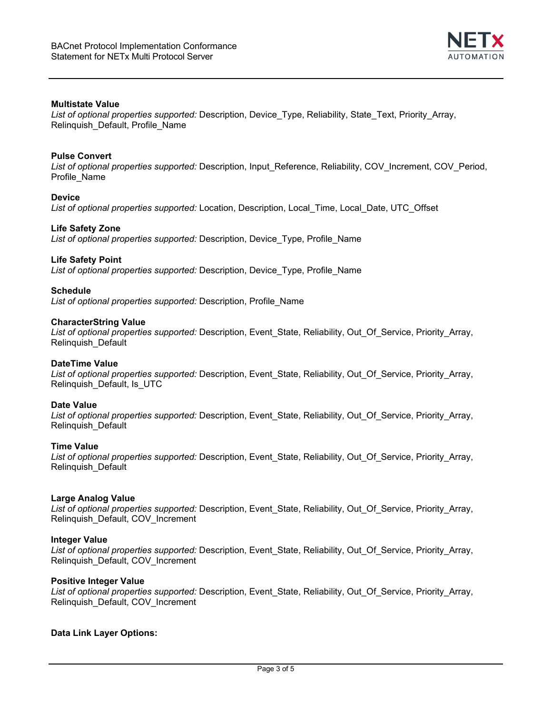

# **Multistate Value**

*List of optional properties supported:* Description, Device\_Type, Reliability, State\_Text, Priority\_Array, Relinquish\_Default, Profile\_Name

## **Pulse Convert**

*List of optional properties supported:* Description, Input\_Reference, Reliability, COV\_Increment, COV\_Period, Profile\_Name

#### **Device**

*List of optional properties supported:* Location, Description, Local\_Time, Local\_Date, UTC\_Offset

#### **Life Safety Zone**

*List of optional properties supported:* Description, Device\_Type, Profile\_Name

## **Life Safety Point**

*List of optional properties supported:* Description, Device\_Type, Profile\_Name

#### **Schedule**

*List of optional properties supported:* Description, Profile\_Name

#### **CharacterString Value**

*List of optional properties supported:* Description, Event\_State, Reliability, Out\_Of\_Service, Priority\_Array, Relinquish\_Default

# **DateTime Value**

*List of optional properties supported:* Description, Event\_State, Reliability, Out\_Of\_Service, Priority\_Array, Relinquish\_Default, Is\_UTC

#### **Date Value**

*List of optional properties supported:* Description, Event\_State, Reliability, Out\_Of\_Service, Priority\_Array, Relinquish\_Default

## **Time Value**

*List of optional properties supported:* Description, Event\_State, Reliability, Out\_Of\_Service, Priority\_Array, Relinquish\_Default

## **Large Analog Value**

*List of optional properties supported:* Description, Event\_State, Reliability, Out\_Of\_Service, Priority\_Array, Relinquish\_Default, COV\_Increment

## **Integer Value**

*List of optional properties supported:* Description, Event\_State, Reliability, Out\_Of\_Service, Priority\_Array, Relinquish\_Default, COV\_Increment

## **Positive Integer Value**

*List of optional properties supported:* Description, Event\_State, Reliability, Out\_Of\_Service, Priority\_Array, Relinquish\_Default, COV\_Increment

## **Data Link Layer Options:**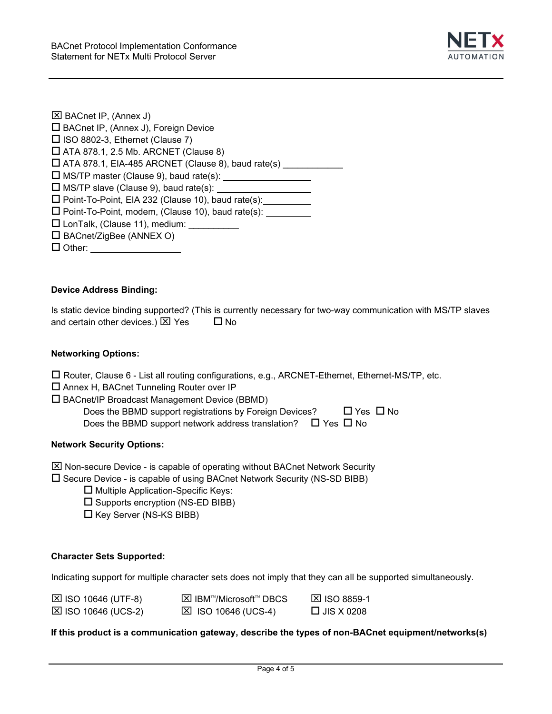

| <b>⊠ BACnet IP, (Annex J)</b>                             |  |
|-----------------------------------------------------------|--|
| □ BACnet IP, (Annex J), Foreign Device                    |  |
| $\Box$ ISO 8802-3, Ethernet (Clause 7)                    |  |
| $\Box$ ATA 878.1, 2.5 Mb. ARCNET (Clause 8)               |  |
| $\Box$ ATA 878.1, EIA-485 ARCNET (Clause 8), baud rate(s) |  |
| $\Box$ MS/TP master (Clause 9), baud rate(s): $\Box$      |  |
| $\square$ MS/TP slave (Clause 9), baud rate(s):           |  |
| $\Box$ Point-To-Point, EIA 232 (Clause 10), baud rate(s): |  |
| □ Point-To-Point, modem, (Clause 10), baud rate(s):       |  |
| □ LonTalk, (Clause 11), medium:                           |  |
| $\Box$ BACnet/ZigBee (ANNEX O)                            |  |
| $\square$ Other:                                          |  |
|                                                           |  |

# **Device Address Binding:**

Is static device binding supported? (This is currently necessary for two-way communication with MS/TP slaves and certain other devices.)  $\boxtimes$  Yes  $\Box$  No

## **Networking Options:**

|  | $\Box$ Router, Clause 6 - List all routing configurations, e.g., ARCNET-Ethernet, Ethernet-MS/TP, etc. |
|--|--------------------------------------------------------------------------------------------------------|
|--|--------------------------------------------------------------------------------------------------------|

- Annex H, BACnet Tunneling Router over IP
- BACnet/IP Broadcast Management Device (BBMD)

| Does the BBMD support registrations by Foreign Devices?                 | $\Box$ Yes $\Box$ No |  |
|-------------------------------------------------------------------------|----------------------|--|
| Does the BBMD support network address translation? $\Box$ Yes $\Box$ No |                      |  |

## **Network Security Options:**

 $\boxtimes$  Non-secure Device - is capable of operating without BACnet Network Security

 $\square$  Secure Device - is capable of using BACnet Network Security (NS-SD BIBB)

- $\square$  Multiple Application-Specific Keys:
- $\square$  Supports encryption (NS-ED BIBB)
- $\square$  Key Server (NS-KS BIBB)

## **Character Sets Supported:**

Indicating support for multiple character sets does not imply that they can all be supported simultaneously.

| $\boxtimes$ ISO 10646 (UTF-8) | <b>⊠ IBM™/Microsoft™ DBCS</b> | <b>⊠ ISO 8859-1</b> |
|-------------------------------|-------------------------------|---------------------|
| $\boxtimes$ ISO 10646 (UCS-2) | $\boxtimes$ ISO 10646 (UCS-4) | $\Box$ JIS X 0208   |

## **If this product is a communication gateway, describe the types of non-BACnet equipment/networks(s)**